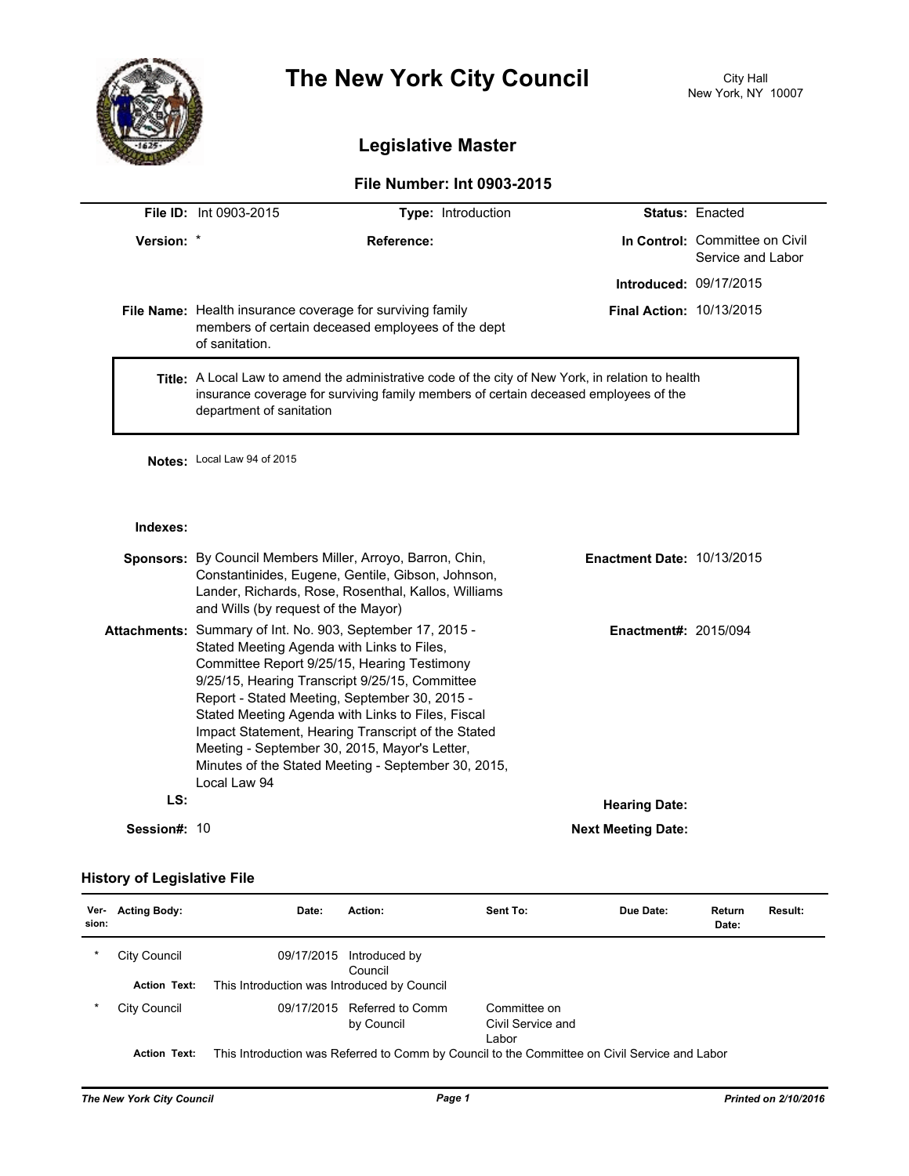

# **The New York City Council** City Hall

# **Legislative Master**

## **File Number: Int 0903-2015**

|            | <b>File ID: Int 0903-2015</b>                                                                                                                                                                                                 | <b>Type: Introduction</b> |                               | <b>Status: Enacted</b>                              |  |
|------------|-------------------------------------------------------------------------------------------------------------------------------------------------------------------------------------------------------------------------------|---------------------------|-------------------------------|-----------------------------------------------------|--|
| Version: * |                                                                                                                                                                                                                               | Reference:                |                               | In Control: Committee on Civil<br>Service and Labor |  |
|            |                                                                                                                                                                                                                               |                           | <b>Introduced: 09/17/2015</b> |                                                     |  |
|            | <b>File Name:</b> Health insurance coverage for surviving family<br><b>Final Action: 10/13/2015</b><br>members of certain deceased employees of the dept<br>of sanitation.                                                    |                           |                               |                                                     |  |
|            | <b>Title:</b> A Local Law to amend the administrative code of the city of New York, in relation to health<br>insurance coverage for surviving family members of certain deceased employees of the<br>department of sanitation |                           |                               |                                                     |  |

**Notes:** Local Law 94 of 2015

#### **Indexes:**

|              | <b>Sponsors:</b> By Council Members Miller, Arroyo, Barron, Chin,<br>Constantinides, Eugene, Gentile, Gibson, Johnson,<br>Lander, Richards, Rose, Rosenthal, Kallos, Williams<br>and Wills (by request of the Mayor)                                                                                                                                                                                                                                                                          | <b>Enactment Date: 10/13/2015</b> |  |
|--------------|-----------------------------------------------------------------------------------------------------------------------------------------------------------------------------------------------------------------------------------------------------------------------------------------------------------------------------------------------------------------------------------------------------------------------------------------------------------------------------------------------|-----------------------------------|--|
|              | Attachments: Summary of Int. No. 903, September 17, 2015 -<br>Stated Meeting Agenda with Links to Files.<br>Committee Report 9/25/15, Hearing Testimony<br>9/25/15, Hearing Transcript 9/25/15, Committee<br>Report - Stated Meeting, September 30, 2015 -<br>Stated Meeting Agenda with Links to Files, Fiscal<br>Impact Statement, Hearing Transcript of the Stated<br>Meeting - September 30, 2015, Mayor's Letter,<br>Minutes of the Stated Meeting - September 30, 2015,<br>Local Law 94 | <b>Enactment#: 2015/094</b>       |  |
| LS:          |                                                                                                                                                                                                                                                                                                                                                                                                                                                                                               | <b>Hearing Date:</b>              |  |
| Session#: 10 |                                                                                                                                                                                                                                                                                                                                                                                                                                                                                               | <b>Next Meeting Date:</b>         |  |

### **History of Legislative File**

| Ver-<br>sion: | <b>Acting Body:</b> | Date:                                                                                         | Action:                        | Sent To:                                   | Due Date: | Return<br>Date: | Result: |
|---------------|---------------------|-----------------------------------------------------------------------------------------------|--------------------------------|--------------------------------------------|-----------|-----------------|---------|
| *             | City Council        | 09/17/2015                                                                                    | Introduced by<br>Council       |                                            |           |                 |         |
|               | <b>Action Text:</b> | This Introduction was Introduced by Council                                                   |                                |                                            |           |                 |         |
| *             | City Council        | 09/17/2015                                                                                    | Referred to Comm<br>by Council | Committee on<br>Civil Service and<br>Labor |           |                 |         |
|               | <b>Action Text:</b> | This Introduction was Referred to Comm by Council to the Committee on Civil Service and Labor |                                |                                            |           |                 |         |